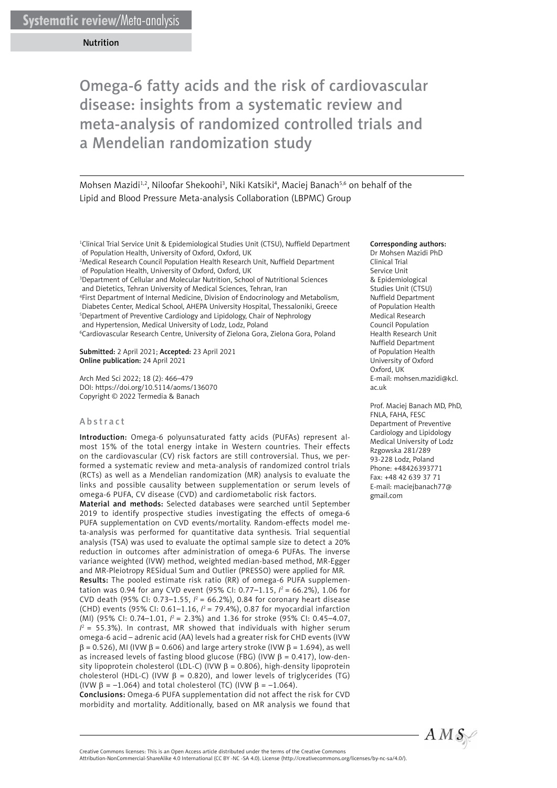Mohsen Mazidi<sup>1,2</sup>, Niloofar Shekoohi<sup>3</sup>, Niki Katsiki<sup>4</sup>, Maciej Banach<sup>5,6</sup> on behalf of the Lipid and Blood Pressure Meta-analysis Collaboration (LBPMC) Group

<sup>1</sup>Clinical Trial Service Unit & Epidemiological Studies Unit (CTSU), Nuffield Department of Population Health, University of Oxford, Oxford, UK

2 Medical Research Council Population Health Research Unit, Nuffield Department of Population Health, University of Oxford, Oxford, UK

3 Department of Cellular and Molecular Nutrition, School of Nutritional Sciences and Dietetics, Tehran University of Medical Sciences, Tehran, Iran

4 First Department of Internal Medicine, Division of Endocrinology and Metabolism, Diabetes Center, Medical School, AHEPA University Hospital, Thessaloniki, Greece 5 Department of Preventive Cardiology and Lipidology, Chair of Nephrology and Hypertension, Medical University of Lodz, Lodz, Poland 6 Cardiovascular Research Centre, University of Zielona Gora, Zielona Gora, Poland

Submitted: 2 April 2021; Accepted: 23 April 2021 Online publication: 24 April 2021

Arch Med Sci 2022; 18 (2): 466–479 DOI: https://doi.org/10.5114/aoms/136070 Copyright © 2022 Termedia & Banach

#### Abstract

Introduction: Omega-6 polyunsaturated fatty acids (PUFAs) represent almost 15% of the total energy intake in Western countries. Their effects on the cardiovascular (CV) risk factors are still controversial. Thus, we performed a systematic review and meta-analysis of randomized control trials (RCTs) as well as a Mendelian randomization (MR) analysis to evaluate the links and possible causality between supplementation or serum levels of omega-6 PUFA, CV disease (CVD) and cardiometabolic risk factors.

Material and methods: Selected databases were searched until September 2019 to identify prospective studies investigating the effects of omega-6 PUFA supplementation on CVD events/mortality. Random-effects model meta-analysis was performed for quantitative data synthesis. Trial sequential analysis (TSA) was used to evaluate the optimal sample size to detect a 20% reduction in outcomes after administration of omega-6 PUFAs. The inverse variance weighted (IVW) method, weighted median-based method, MR-Egger and MR-Pleiotropy RESidual Sum and Outlier (PRESSO) were applied for MR. Results: The pooled estimate risk ratio (RR) of omega-6 PUFA supplementation was 0.94 for any CVD event (95% CI: 0.77–1.15, *I* <sup>2</sup> = 66.2%), 1.06 for CVD death (95% CI: 0.73–1.55,  $l^2$  = 66.2%), 0.84 for coronary heart disease (CHD) events (95% CI: 0.61–1.16,  $l^2$  = 79.4%), 0.87 for myocardial infarction (MI) (95% CI: 0.74–1.01, *I* 2 = 2.3%) and 1.36 for stroke (95% CI: 0.45–4.07,  $I^2$  = 55.3%). In contrast, MR showed that individuals with higher serum omega-6 acid – adrenic acid (AA) levels had a greater risk for CHD events (IVW  $\beta$  = 0.526), MI (IVW  $\beta$  = 0.606) and large artery stroke (IVW  $\beta$  = 1.694), as well as increased levels of fasting blood glucose (FBG) (IVW  $\beta$  = 0.417), low-density lipoprotein cholesterol (LDL-C) (IVW  $β = 0.806$ ), high-density lipoprotein cholesterol (HDL-C) (IVW  $\beta$  = 0.820), and lower levels of triglycerides (TG) (IVW  $\beta$  = –1.064) and total cholesterol (TC) (IVW  $\beta$  = –1.064).

Conclusions: Omega-6 PUFA supplementation did not affect the risk for CVD morbidity and mortality. Additionally, based on MR analysis we found that

#### Corresponding authors:

Dr Mohsen Mazidi PhD Clinical Trial Service Unit & Epidemiological Studies Unit (CTSU) Nuffield Department of Population Health Medical Research Council Population Health Research Unit Nuffield Department of Population Health University of Oxford Oxford, UK E-mail: [mohsen.mazidi@kcl.](mailto:mohsen.mazidi@kcl.ac.uk) [ac.uk](mailto:mohsen.mazidi@kcl.ac.uk) 

Prof. Maciej Banach MD, PhD, FNLA, FAHA, FESC Department of Preventive Cardiology and Lipidology Medical University of Lodz Rzgowska 281/289 93-228 Lodz, Poland Phone: +48426393771 Fax: +48 42 639 37 71 E-mail: [maciejbanach77@](mailto:maciejbanach@aol.co.uk) [gmail.com](mailto:maciejbanach@aol.co.uk) 



Attribution-NonCommercial-ShareAlike 4.0 International (CC BY -NC -SA 4.0). License (http://creativecommons.org/licenses/by-nc-sa/4.0/).

Creative Commons licenses: This is an Open Access article distributed under the terms of the Creative Commons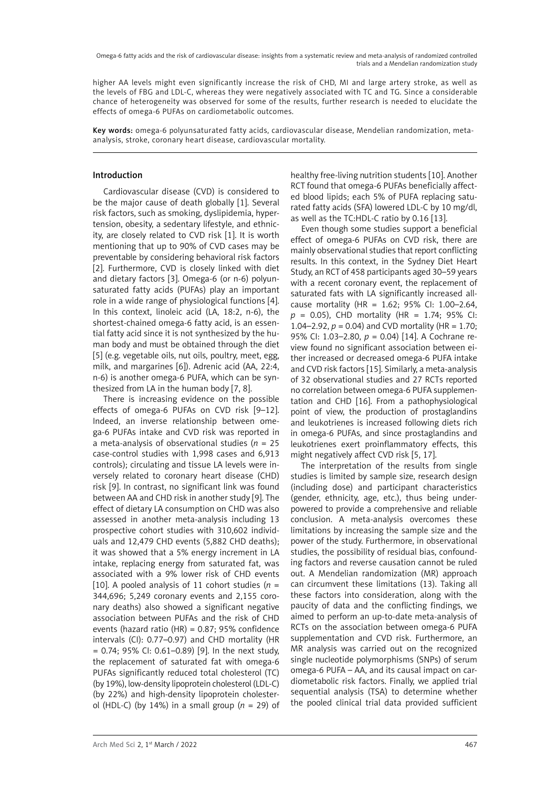higher AA levels might even significantly increase the risk of CHD, MI and large artery stroke, as well as the levels of FBG and LDL-C, whereas they were negatively associated with TC and TG. Since a considerable chance of heterogeneity was observed for some of the results, further research is needed to elucidate the effects of omega-6 PUFAs on cardiometabolic outcomes.

Key words: omega-6 polyunsaturated fatty acids, cardiovascular disease, Mendelian randomization, metaanalysis, stroke, coronary heart disease, cardiovascular mortality.

# Introduction

Cardiovascular disease (CVD) is considered to be the major cause of death globally [1]. Several risk factors, such as smoking, dyslipidemia, hypertension, obesity, a sedentary lifestyle, and ethnicity, are closely related to CVD risk [1]. It is worth mentioning that up to 90% of CVD cases may be preventable by considering behavioral risk factors [2]. Furthermore, CVD is closely linked with diet and dietary factors [3]. Omega-6 (or n-6) polyunsaturated fatty acids (PUFAs) play an important role in a wide range of physiological functions [4]. In this context, linoleic acid (LA, 18:2, n-6), the shortest-chained omega-6 fatty acid, is an essential fatty acid since it is not synthesized by the human body and must be obtained through the diet [5] (e.g. vegetable oils, nut oils, poultry, meet, egg, milk, and margarines [6]). Adrenic acid (AA, 22:4, n-6) is another omega-6 PUFA, which can be synthesized from LA in the human body [7, 8].

There is increasing evidence on the possible effects of omega-6 PUFAs on CVD risk [9–12]. Indeed, an inverse relationship between omega-6 PUFAs intake and CVD risk was reported in a meta-analysis of observational studies (*n* = 25 case-control studies with 1,998 cases and 6,913 controls); circulating and tissue LA levels were inversely related to coronary heart disease (CHD) risk [9]. In contrast, no significant link was found between AA and CHD risk in another study [9]. The effect of dietary LA consumption on CHD was also assessed in another meta-analysis including 13 prospective cohort studies with 310,602 individuals and 12,479 CHD events (5,882 CHD deaths); it was showed that a 5% energy increment in LA intake, replacing energy from saturated fat, was associated with a 9% lower risk of CHD events [10]. A pooled analysis of 11 cohort studies ( $n =$ 344,696; 5,249 coronary events and 2,155 coronary deaths) also showed a significant negative association between PUFAs and the risk of CHD events (hazard ratio (HR) = 0.87; 95% confidence intervals (CI): 0.77–0.97) and CHD mortality (HR = 0.74; 95% CI: 0.61–0.89) [9]. In the next study, the replacement of saturated fat with omega-6 PUFAs significantly reduced total cholesterol (TC) (by 19%), low-density lipoprotein cholesterol (LDL-C) (by 22%) and high-density lipoprotein cholesterol (HDL-C) (by 14%) in a small group  $(n = 29)$  of healthy free-living nutrition students [10]. Another RCT found that omega-6 PUFAs beneficially affected blood lipids; each 5% of PUFA replacing saturated fatty acids (SFA) lowered LDL-C by 10 mg/dl, as well as the TC:HDL-C ratio by 0.16 [13].

Even though some studies support a beneficial effect of omega-6 PUFAs on CVD risk, there are mainly observational studies that report conflicting results. In this context, in the Sydney Diet Heart Study, an RCT of 458 participants aged 30–59 years with a recent coronary event, the replacement of saturated fats with LA significantly increased allcause mortality (HR = 1.62; 95% CI: 1.00–2.64, *p* = 0.05), CHD mortality (HR = 1.74; 95% CI: 1.04–2.92,  $p = 0.04$ ) and CVD mortality (HR = 1.70; 95% CI: 1.03–2.80, *p* = 0.04) [14]. A Cochrane review found no significant association between either increased or decreased omega-6 PUFA intake and CVD risk factors [15]. Similarly, a meta-analysis of 32 observational studies and 27 RCTs reported no correlation between omega-6 PUFA supplementation and CHD [16]. From a pathophysiological point of view, the production of prostaglandins and leukotrienes is increased following diets rich in omega-6 PUFAs, and since prostaglandins and leukotrienes exert proinflammatory effects, this might negatively affect CVD risk [5, 17].

The interpretation of the results from single studies is limited by sample size, research design (including dose) and participant characteristics (gender, ethnicity, age, etc.), thus being underpowered to provide a comprehensive and reliable conclusion. A meta-analysis overcomes these limitations by increasing the sample size and the power of the study. Furthermore, in observational studies, the possibility of residual bias, confounding factors and reverse causation cannot be ruled out. A Mendelian randomization (MR) approach can circumvent these limitations (13). Taking all these factors into consideration, along with the paucity of data and the conflicting findings, we aimed to perform an up-to-date meta-analysis of RCTs on the association between omega-6 PUFA supplementation and CVD risk. Furthermore, an MR analysis was carried out on the recognized single nucleotide polymorphisms (SNPs) of serum omega-6 PUFA – AA, and its causal impact on cardiometabolic risk factors. Finally, we applied trial sequential analysis (TSA) to determine whether the pooled clinical trial data provided sufficient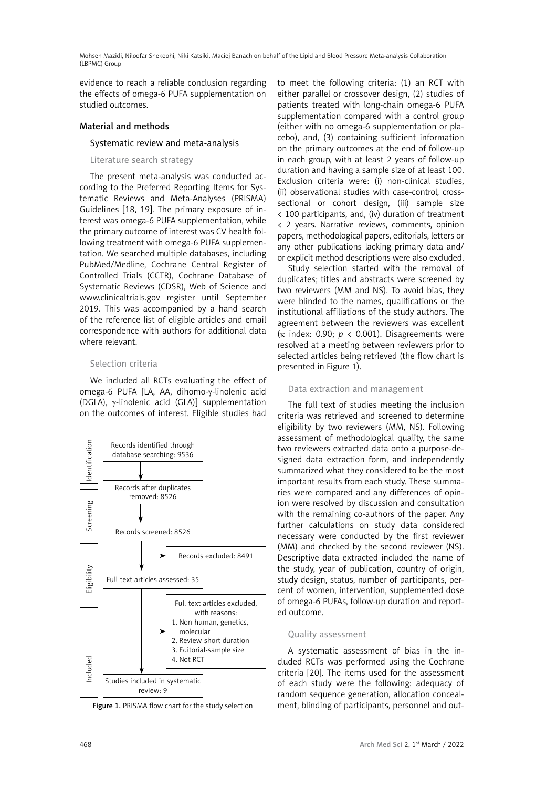evidence to reach a reliable conclusion regarding the effects of omega-6 PUFA supplementation on studied outcomes.

## Material and methods

## Systematic review and meta-analysis

Literature search strategy

The present meta-analysis was conducted according to the Preferred Reporting Items for Systematic Reviews and Meta-Analyses (PRISMA) Guidelines [18, 19]. The primary exposure of interest was omega-6 PUFA supplementation, while the primary outcome of interest was CV health following treatment with omega-6 PUFA supplementation. We searched multiple databases, including PubMed/Medline, Cochrane Central Register of Controlled Trials (CCTR), Cochrane Database of Systematic Reviews (CDSR), Web of Science and www.clinicaltrials.gov register until September 2019. This was accompanied by a hand search of the reference list of eligible articles and email correspondence with authors for additional data where relevant.

## Selection criteria

We included all RCTs evaluating the effect of omega-6 PUFA [LA, AA, dihomo-γ-linolenic acid (DGLA),  $\gamma$ -linolenic acid (GLA)] supplementation on the outcomes of interest. Eligible studies had





to meet the following criteria: (1) an RCT with either parallel or crossover design, (2) studies of patients treated with long-chain omega-6 PUFA supplementation compared with a control group (either with no omega-6 supplementation or placebo), and, (3) containing sufficient information on the primary outcomes at the end of follow-up in each group, with at least 2 years of follow-up duration and having a sample size of at least 100. Exclusion criteria were: (i) non-clinical studies, (ii) observational studies with case-control, crosssectional or cohort design, (iii) sample size < 100 participants, and, (iv) duration of treatment < 2 years. Narrative reviews, comments, opinion papers, methodological papers, editorials, letters or any other publications lacking primary data and/ or explicit method descriptions were also excluded.

Study selection started with the removal of duplicates; titles and abstracts were screened by two reviewers (MM and NS). To avoid bias, they were blinded to the names, qualifications or the institutional affiliations of the study authors. The agreement between the reviewers was excellent ( $\kappa$  index: 0.90;  $p \lt 0.001$ ). Disagreements were resolved at a meeting between reviewers prior to selected articles being retrieved (the flow chart is presented in Figure 1).

### Data extraction and management

The full text of studies meeting the inclusion criteria was retrieved and screened to determine eligibility by two reviewers (MM, NS). Following assessment of methodological quality, the same two reviewers extracted data onto a purpose-designed data extraction form, and independently summarized what they considered to be the most important results from each study. These summaries were compared and any differences of opinion were resolved by discussion and consultation with the remaining co-authors of the paper. Any further calculations on study data considered necessary were conducted by the first reviewer (MM) and checked by the second reviewer (NS). Descriptive data extracted included the name of the study, year of publication, country of origin, study design, status, number of participants, percent of women, intervention, supplemented dose of omega-6 PUFAs, follow-up duration and reported outcome.

## Quality assessment

A systematic assessment of bias in the included RCTs was performed using the Cochrane criteria [20]. The items used for the assessment of each study were the following: adequacy of random sequence generation, allocation conceal-Figure 1. PRISMA flow chart for the study selection ment, blinding of participants, personnel and out-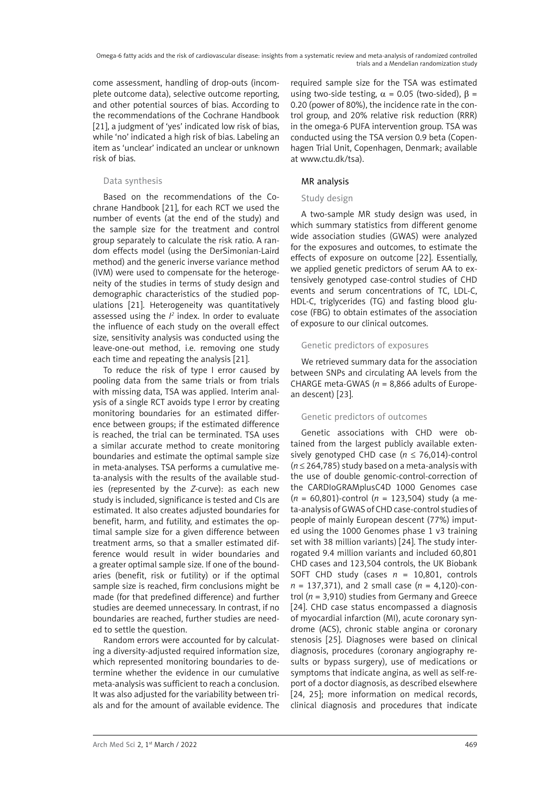come assessment, handling of drop-outs (incomplete outcome data), selective outcome reporting, and other potential sources of bias. According to the recommendations of the Cochrane Handbook [21], a judgment of 'yes' indicated low risk of bias, while 'no' indicated a high risk of bias. Labeling an item as 'unclear' indicated an unclear or unknown risk of bias.

## Data synthesis

Based on the recommendations of the Cochrane Handbook [21], for each RCT we used the number of events (at the end of the study) and the sample size for the treatment and control group separately to calculate the risk ratio. A random effects model (using the DerSimonian-Laird method) and the generic inverse variance method (IVM) were used to compensate for the heterogeneity of the studies in terms of study design and demographic characteristics of the studied populations [21]. Heterogeneity was quantitatively assessed using the *I <sup>2</sup>* index. In order to evaluate the influence of each study on the overall effect size, sensitivity analysis was conducted using the leave-one-out method, i.e. removing one study each time and repeating the analysis [21].

To reduce the risk of type I error caused by pooling data from the same trials or from trials with missing data, TSA was applied. Interim analysis of a single RCT avoids type I error by creating monitoring boundaries for an estimated difference between groups; if the estimated difference is reached, the trial can be terminated. TSA uses a similar accurate method to create monitoring boundaries and estimate the optimal sample size in meta-analyses. TSA performs a cumulative meta-analysis with the results of the available studies (represented by the *Z*-curve): as each new study is included, significance is tested and CIs are estimated. It also creates adjusted boundaries for benefit, harm, and futility, and estimates the optimal sample size for a given difference between treatment arms, so that a smaller estimated difference would result in wider boundaries and a greater optimal sample size. If one of the boundaries (benefit, risk or futility) or if the optimal sample size is reached, firm conclusions might be made (for that predefined difference) and further studies are deemed unnecessary. In contrast, if no boundaries are reached, further studies are needed to settle the question.

Random errors were accounted for by calculating a diversity-adjusted required information size, which represented monitoring boundaries to determine whether the evidence in our cumulative meta-analysis was sufficient to reach a conclusion. It was also adjusted for the variability between trials and for the amount of available evidence. The

required sample size for the TSA was estimated using two-side testing,  $\alpha = 0.05$  (two-sided),  $\beta =$ 0.20 (power of 80%), the incidence rate in the control group, and 20% relative risk reduction (RRR) in the omega-6 PUFA intervention group. TSA was conducted using the TSA version 0.9 beta (Copenhagen Trial Unit, Copenhagen, Denmark; available at www.ctu.dk/tsa).

# MR analysis

## Study design

A two-sample MR study design was used, in which summary statistics from different genome wide association studies (GWAS) were analyzed for the exposures and outcomes, to estimate the effects of exposure on outcome [22]. Essentially, we applied genetic predictors of serum AA to extensively genotyped case-control studies of CHD events and serum concentrations of TC, LDL-C, HDL-C, triglycerides (TG) and fasting blood glucose (FBG) to obtain estimates of the association of exposure to our clinical outcomes.

## Genetic predictors of exposures

We retrieved summary data for the association between SNPs and circulating AA levels from the CHARGE meta-GWAS ( $n = 8,866$  adults of European descent) [23].

## Genetic predictors of outcomes

Genetic associations with CHD were obtained from the largest publicly available extensively genotyped CHD case (*n* ≤ 76,014)-control (*n* ≤ 264,785) study based on a meta-analysis with the use of double genomic-control-correction of the CARDIoGRAMplusC4D 1000 Genomes case (*n* = 60,801)-control (*n* = 123,504) study (a meta-analysis of GWAS of CHD case-control studies of people of mainly European descent (77%) imputed using the 1000 Genomes phase 1 v3 training set with 38 million variants) [24]. The study interrogated 9.4 million variants and included 60,801 CHD cases and 123,504 controls, the UK Biobank SOFT CHD study (cases *n* = 10,801, controls *n* = 137,371), and 2 small case (*n* = 4,120)-control (*n* = 3,910) studies from Germany and Greece [24]. CHD case status encompassed a diagnosis of myocardial infarction (MI), acute coronary syndrome (ACS), chronic stable angina or coronary stenosis [25]. Diagnoses were based on clinical diagnosis, procedures (coronary angiography results or bypass surgery), use of medications or symptoms that indicate angina, as well as self-report of a doctor diagnosis, as described elsewhere [24, 25]; more information on medical records, clinical diagnosis and procedures that indicate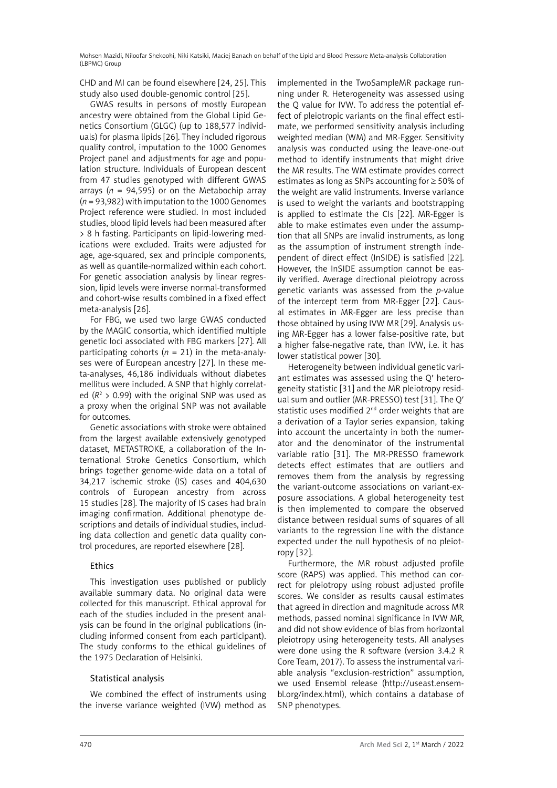CHD and MI can be found elsewhere [24, 25]. This study also used double-genomic control [25].

GWAS results in persons of mostly European ancestry were obtained from the Global Lipid Genetics Consortium (GLGC) (up to 188,577 individuals) for plasma lipids [26]. They included rigorous quality control, imputation to the 1000 Genomes Project panel and adjustments for age and population structure. Individuals of European descent from 47 studies genotyped with different GWAS arrays ( $n = 94,595$ ) or on the Metabochip array (*n* = 93,982) with imputation to the 1000 Genomes Project reference were studied. In most included studies, blood lipid levels had been measured after > 8 h fasting. Participants on lipid-lowering medications were excluded. Traits were adjusted for age, age-squared, sex and principle components, as well as quantile-normalized within each cohort. For genetic association analysis by linear regression, lipid levels were inverse normal-transformed and cohort-wise results combined in a fixed effect meta-analysis [26].

For FBG, we used two large GWAS conducted by the MAGIC consortia, which identified multiple genetic loci associated with FBG markers [27]. All participating cohorts ( $n = 21$ ) in the meta-analyses were of European ancestry [27]. In these meta-analyses, 46,186 individuals without diabetes mellitus were included. A SNP that highly correlated  $(R^2 > 0.99)$  with the original SNP was used as a proxy when the original SNP was not available for outcomes.

Genetic associations with stroke were obtained from the largest available extensively genotyped dataset, METASTROKE, a collaboration of the International Stroke Genetics Consortium, which brings together genome-wide data on a total of 34,217 ischemic stroke (IS) cases and 404,630 controls of European ancestry from across 15 studies [28]. The majority of IS cases had brain imaging confirmation. Additional phenotype descriptions and details of individual studies, including data collection and genetic data quality control procedures, are reported elsewhere [28].

# Ethics

This investigation uses published or publicly available summary data. No original data were collected for this manuscript. Ethical approval for each of the studies included in the present analysis can be found in the original publications (including informed consent from each participant). The study conforms to the ethical guidelines of the 1975 Declaration of Helsinki.

## Statistical analysis

We combined the effect of instruments using the inverse variance weighted (IVW) method as implemented in the TwoSampleMR package running under R. Heterogeneity was assessed using the Q value for IVW. To address the potential effect of pleiotropic variants on the final effect estimate, we performed sensitivity analysis including weighted median (WM) and MR-Egger. Sensitivity analysis was conducted using the leave-one-out method to identify instruments that might drive the MR results. The WM estimate provides correct estimates as long as SNPs accounting for ≥ 50% of the weight are valid instruments. Inverse variance is used to weight the variants and bootstrapping is applied to estimate the CIs [22]. MR-Egger is able to make estimates even under the assumption that all SNPs are invalid instruments, as long as the assumption of instrument strength independent of direct effect (InSIDE) is satisfied [22]. However, the InSIDE assumption cannot be easily verified. Average directional pleiotropy across genetic variants was assessed from the *p*-value of the intercept term from MR-Egger [22]. Causal estimates in MR-Egger are less precise than those obtained by using IVW MR [29]. Analysis using MR-Egger has a lower false-positive rate, but a higher false-negative rate, than IVW, i.e. it has lower statistical power [30].

Heterogeneity between individual genetic variant estimates was assessed using the Q′ heterogeneity statistic [31] and the MR pleiotropy residual sum and outlier (MR-PRESSO) test [31]. The Q′ statistic uses modified 2<sup>nd</sup> order weights that are a derivation of a Taylor series expansion, taking into account the uncertainty in both the numerator and the denominator of the instrumental variable ratio [31]. The MR-PRESSO framework detects effect estimates that are outliers and removes them from the analysis by regressing the variant-outcome associations on variant-exposure associations. A global heterogeneity test is then implemented to compare the observed distance between residual sums of squares of all variants to the regression line with the distance expected under the null hypothesis of no pleiotropy [32].

Furthermore, the MR robust adjusted profile score (RAPS) was applied. This method can correct for pleiotropy using robust adjusted profile scores. We consider as results causal estimates that agreed in direction and magnitude across MR methods, passed nominal significance in IVW MR, and did not show evidence of bias from horizontal pleiotropy using heterogeneity tests. All analyses were done using the R software (version 3.4.2 R Core Team, 2017). To assess the instrumental variable analysis "exclusion-restriction" assumption, we used Ensembl release [\(http://useast.ensem](http://useast.ensembl.org/index.html)[bl.org/index.html](http://useast.ensembl.org/index.html)), which contains a database of SNP phenotypes.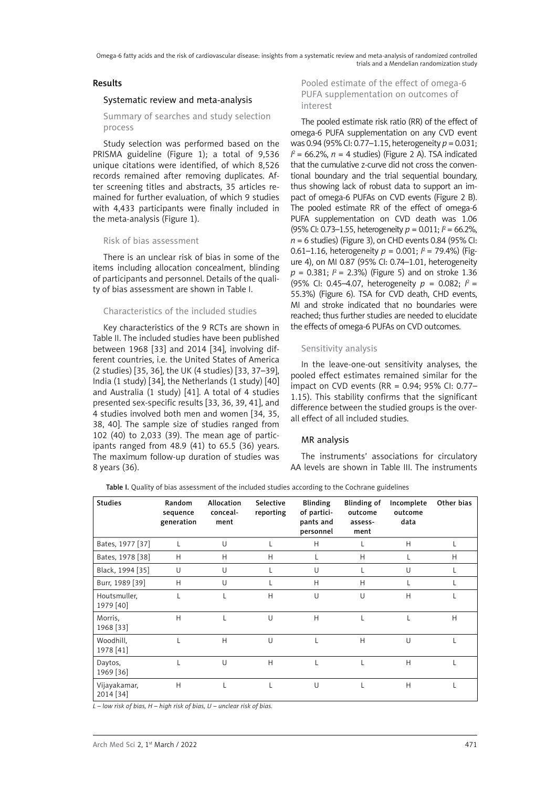### Results

### Systematic review and meta-analysis

Summary of searches and study selection process

Study selection was performed based on the PRISMA guideline (Figure 1); a total of 9,536 unique citations were identified, of which 8,526 records remained after removing duplicates. After screening titles and abstracts, 35 articles remained for further evaluation, of which 9 studies with 4,433 participants were finally included in the meta-analysis (Figure 1).

## Risk of bias assessment

There is an unclear risk of bias in some of the items including allocation concealment, blinding of participants and personnel. Details of the quality of bias assessment are shown in Table I.

### Characteristics of the included studies

Key characteristics of the 9 RCTs are shown in Table II. The included studies have been published between 1968 [33] and 2014 [34], involving different countries, i.e. the United States of America (2 studies) [35, 36], the UK (4 studies) [33, 37–39], India (1 study) [34], the Netherlands (1 study) [40] and Australia (1 study) [41]. A total of 4 studies presented sex-specific results [33, 36, 39, 41], and 4 studies involved both men and women [34, 35, 38, 40]. The sample size of studies ranged from 102 (40) to 2,033 (39). The mean age of participants ranged from 48.9 (41) to 65.5 (36) years. The maximum follow-up duration of studies was 8 years (36).

Pooled estimate of the effect of omega-6 PUFA supplementation on outcomes of interest

The pooled estimate risk ratio (RR) of the effect of omega-6 PUFA supplementation on any CVD event was 0.94 (95% CI: 0.77–1.15, heterogeneity *p* = 0.031;  $I^2$  = 66.2%,  $n$  = 4 studies) (Figure 2 A). TSA indicated that the cumulative z-curve did not cross the conventional boundary and the trial sequential boundary, thus showing lack of robust data to support an impact of omega-6 PUFAs on CVD events (Figure 2 B). The pooled estimate RR of the effect of omega-6 PUFA supplementation on CVD death was 1.06 (95% CI: 0.73–1.55, heterogeneity *p* = 0.011; *I* 2 = 66.2%, *n* = 6 studies) (Figure 3), on CHD events 0.84 (95% CI: 0.61–1.16, heterogeneity  $p = 0.001$ ;  $l^2 = 79.4$ %) (Figure 4), on MI 0.87 (95% CI: 0.74–1.01, heterogeneity  $p = 0.381;$   $l^2 = 2.3%$ ) (Figure 5) and on stroke 1.36 (95% CI: 0.45–4.07, heterogeneity *p* = 0.082; *I* 2 = 55.3%) (Figure 6). TSA for CVD death, CHD events, MI and stroke indicated that no boundaries were reached; thus further studies are needed to elucidate the effects of omega-6 PUFAs on CVD outcomes.

# Sensitivity analysis

In the leave-one-out sensitivity analyses, the pooled effect estimates remained similar for the impact on CVD events (RR = 0.94; 95% CI: 0.77– 1.15). This stability confirms that the significant difference between the studied groups is the overall effect of all included studies.

## MR analysis

The instruments' associations for circulatory AA levels are shown in Table III. The instruments

Table I. Quality of bias assessment of the included studies according to the Cochrane guidelines

| <b>Studies</b>            | Random<br>sequence<br>generation | Allocation<br>conceal-<br>ment | Selective<br>reporting | <b>Blinding</b><br>of partici-<br>pants and<br>personnel | Blinding of<br>outcome<br>assess-<br>ment | Incomplete<br>outcome<br>data | Other bias |
|---------------------------|----------------------------------|--------------------------------|------------------------|----------------------------------------------------------|-------------------------------------------|-------------------------------|------------|
| Bates, 1977 [37]          | L                                | U                              | L                      | H                                                        | L                                         | H                             | L          |
| Bates, 1978 [38]          | H                                | H                              | Н                      |                                                          | H                                         |                               | H          |
| Black, 1994 [35]          | U                                | U                              | L                      | U                                                        | L                                         | U                             | L          |
| Burr, 1989 [39]           | H                                | U                              | L                      | H                                                        | H                                         |                               |            |
| Houtsmuller,<br>1979 [40] |                                  |                                | H                      | U                                                        | U                                         | H                             |            |
| Morris,<br>1968 [33]      | H                                |                                | U                      | H                                                        |                                           |                               | H          |
| Woodhill,<br>1978 [41]    |                                  | H                              | U                      |                                                          | H                                         | $\cup$                        |            |
| Daytos,<br>1969 [36]      |                                  | $\cup$                         | H                      |                                                          |                                           | H                             |            |
| Vijayakamar,<br>2014 [34] | H                                |                                |                        | U                                                        |                                           | H                             |            |

*L – low risk of bias, H – high risk of bias, U – unclear risk of bias.*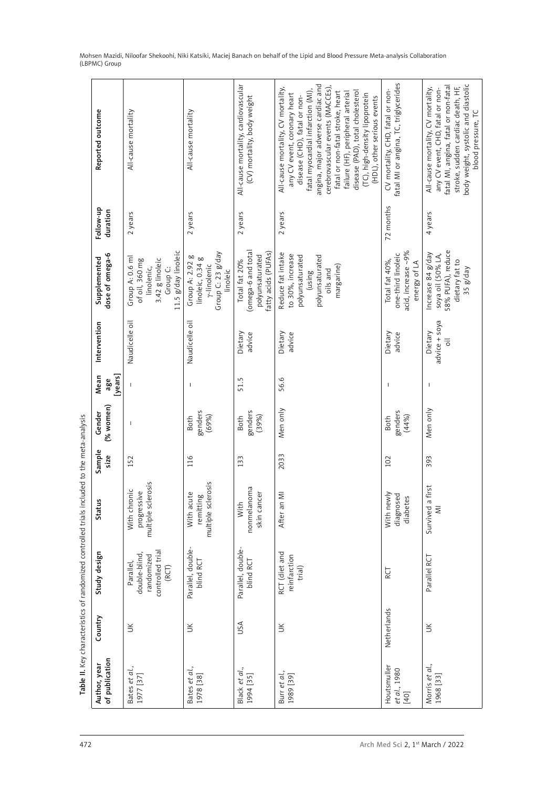| Reported outcome<br>Follow-up<br>duration | All-cause mortality<br>2 years                                                                                    | All-cause mortality<br>2 years                                                      | All-cause mortality, cardiovascular<br>(CV) mortality, body weight<br>2 years | angina, major adverse cardiac and<br>cerebrovascular events (MACCEs),<br>All-cause mortality, CV mortality,<br>fatal myocardial infarction (MI),<br>fatal or non-fatal stroke, heart<br>disease (PAD), total cholesterol<br>failure (HF), peripheral arterial<br>any CV event, coronary heart<br>(TC), high-density lipoprotein<br>disease (CHD), fatal or non-<br>(HDL), other serious events<br>2 years | fatal MI or angina, TC, triglycerides<br>CV mortality, CHD, fatal or non-<br>72 months | fatal MI, angina, fatal or non-fatal<br>stroke, sudden cardiac death, HF,<br>All-cause mortality, CV mortality,<br>any CV event, CHD, fatal or non-<br>4 years |
|-------------------------------------------|-------------------------------------------------------------------------------------------------------------------|-------------------------------------------------------------------------------------|-------------------------------------------------------------------------------|-----------------------------------------------------------------------------------------------------------------------------------------------------------------------------------------------------------------------------------------------------------------------------------------------------------------------------------------------------------------------------------------------------------|----------------------------------------------------------------------------------------|----------------------------------------------------------------------------------------------------------------------------------------------------------------|
| dose of omega-6<br>Supplemented           | 11.5 g/day linoleic<br>Group A: 0.6 ml<br>of oil, 360 mg<br>3.42 g linoleic<br>linolenic,<br>Group <sub>C</sub> : | Group C: 23 g/day<br>Group A: 2.92 g<br>linoleic, 0.34 g<br>y-linolenic<br>linoleic | (omega-6 and total<br>fatty acids (PUFAs)<br>polyunsaturated<br>Total fat 20% | Reduce fat intake<br>to 30%, increase<br>polyunsaturated<br>polyunsaturated<br>margarine)<br>oils and<br>(using                                                                                                                                                                                                                                                                                           | acid, increase ~9%<br>one-third linoleic<br>Total fat 40%,<br>energy of LA             | 58% PUFA), reduce<br>Increase 84 g/day<br>soya oil (50% LA,<br>dietary fat to                                                                                  |
| Intervention                              | Naudicelle oil                                                                                                    | Naudicelle oil                                                                      | Dietary<br>advice                                                             | Dietary<br>advice                                                                                                                                                                                                                                                                                                                                                                                         | Dietary<br>advice                                                                      | advice + soya<br>Dietary<br>$\overline{5}$                                                                                                                     |
| [years]<br>Mean<br>age                    |                                                                                                                   | $\overline{\phantom{a}}$                                                            | 51.5                                                                          | 56.6                                                                                                                                                                                                                                                                                                                                                                                                      | T                                                                                      |                                                                                                                                                                |
| (% women)<br>Gender                       | $\mathbf{I}$                                                                                                      | genders<br>(69%)<br>Both                                                            | genders<br>(39%)<br>Both                                                      | Men only                                                                                                                                                                                                                                                                                                                                                                                                  | genders<br>(44%<br><b>Both</b>                                                         | Men only                                                                                                                                                       |
| Sample<br>size                            | 152                                                                                                               | 116                                                                                 | 133                                                                           | 2033                                                                                                                                                                                                                                                                                                                                                                                                      | 102                                                                                    | 393                                                                                                                                                            |
| <b>Status</b>                             | multiple sclerosis<br>With chronic<br>progressive                                                                 | multiple sclerosis<br>With acute<br>remitting                                       | nonmelanoma<br>skin cancer<br>With                                            | After an MI                                                                                                                                                                                                                                                                                                                                                                                               | With newly<br>diagnosed<br>diabetes                                                    | rst<br>Survived a fi<br>$\overline{\leq}$                                                                                                                      |
| Study design                              | controlled trial<br>double-blind<br>randomized<br>Parallel,<br>(RCT)                                              | Parallel, double-<br>blind RCT                                                      | Parallel, double-<br>blind RCT                                                | RCT (diet and<br>reinfarction<br>trial)                                                                                                                                                                                                                                                                                                                                                                   | RCT                                                                                    | Parallel RCT                                                                                                                                                   |
| Country                                   | $\leq$                                                                                                            | $\leq$                                                                              | JSA                                                                           | $\leq$                                                                                                                                                                                                                                                                                                                                                                                                    | Netherlands                                                                            | $\leq$                                                                                                                                                         |
| of publication<br>Author, year            | Bates et al.,<br>1977 [37]                                                                                        | Bates et al.,<br>1978 [38]                                                          | Black et al.,<br>1994 [35]                                                    | Burr et al.,<br>1989 [39]                                                                                                                                                                                                                                                                                                                                                                                 | Houtsmuller<br>et al., 1980<br>$[40]$                                                  | Morris et al.,<br>1968 [33]                                                                                                                                    |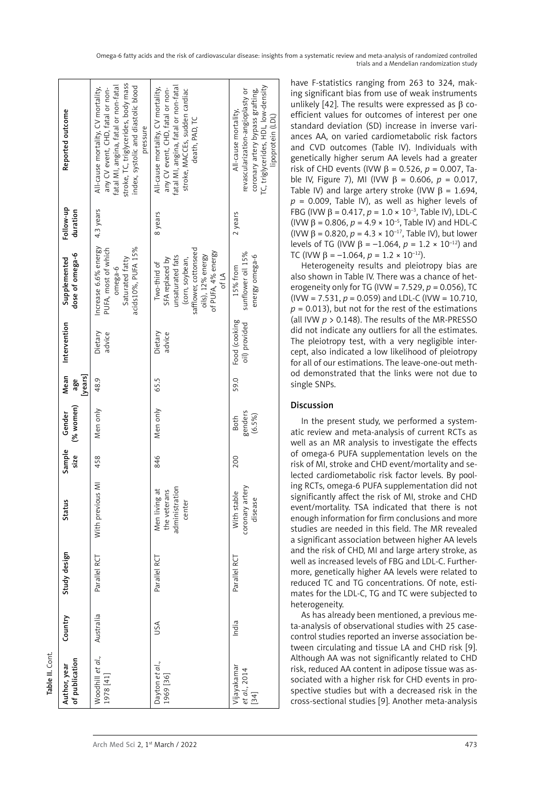| d.,<br>et<br>$\frac{1}{4}$<br>Woodl<br>1978 [ | $\vec{a}$<br>ti G<br>9<br>69<br>19 | akamar<br>20<br>$t\bar{a}$ is | Although AA was not significantly related to CHD<br>risk, reduced AA content in adipose tissue was as-<br>sociated with a higher risk for CHD events in pro-<br>spective studies but with a decreased risk in the<br>cross-sectional studies [9]. Another meta-analysis |
|-----------------------------------------------|------------------------------------|-------------------------------|-------------------------------------------------------------------------------------------------------------------------------------------------------------------------------------------------------------------------------------------------------------------------|
| Arch Med Sci 2, 1 <sup>st</sup> March / 2022  |                                    |                               | 473                                                                                                                                                                                                                                                                     |
|                                               |                                    |                               |                                                                                                                                                                                                                                                                         |

Table II. Cont.

Table II. Cont

| of publication<br>Author, year        | Country   | Study design | Status                                                    | Sample<br>size | (% women)<br>Gender       | Mean<br>[years]<br>age | Intervention                   | dose of omega-6<br>Supplemented                                                                                                                     | Follow-up<br>duration | Reported outcome                                                                                                                                                                                          |  |
|---------------------------------------|-----------|--------------|-----------------------------------------------------------|----------------|---------------------------|------------------------|--------------------------------|-----------------------------------------------------------------------------------------------------------------------------------------------------|-----------------------|-----------------------------------------------------------------------------------------------------------------------------------------------------------------------------------------------------------|--|
| Woodhill et al.,<br>[14] 8/61         | Australia | Parallel RCT | $\overline{\leq}$<br>With previous                        | 458            | Men only                  | 48.9                   | Dietary<br>advice              | Increase 6.6% energy<br>acids10%, PUFA 15%<br>PUFA, most of which<br>Saturated fatty<br>omega-6                                                     | 4.3 years             | stroke, TC, triglycerides, body mass<br>fatal MI, angina, fatal or non-fatal<br>index, systolic and diastolic blood<br>All-cause mortality, CV mortality,<br>any CV event, CHD, fatal or non-<br>pressure |  |
| Dayton et al.,<br>1969 [36]           | USA       | Parallel RCT | administration<br>Men living at<br>the veterans<br>center | 846            | Men only                  | 65.5                   | Dietary<br>advice              | safflower, cottonseed<br>of PUFA, 4% energy<br>oils), 12% energy<br>unsaturated fats<br>SFA replaced by<br>(corn, soybean,<br>Two-third of<br>of LA | 8 years               | fatal MI, angina, fatal or non-fatal<br>All-cause mortality, CV mortality,<br>any CV event, CHD, fatal or non-<br>stroke, MACCEs, sudden cardiac<br>death, PAD, TC                                        |  |
| Vijayakamar<br>et al., 2014<br>$[34]$ | India     | Parallel RCT | coronary artery<br>With stable<br>disease                 | 200            | genders<br>(6.5%)<br>Both | 59.0                   | Food (cooking<br>oil) provided | sunflower oil 15%<br>energy omega-6<br>15% from                                                                                                     | 2 years               | TC, triglycerides, HDL, low-density<br>coronary artery bypass grafting,<br>revascularization-angioplasty or<br>All-cause mortality,<br>lipoprotein (LDL)                                                  |  |

have F-statistics ranging from 263 to 324, making significant bias from use of weak instruments unlikely [42]. The results were expressed as β coefficient values for outcomes of interest per one standard deviation (SD) increase in inverse variances AA, on varied cardiometabolic risk factors and CVD outcomes (Table IV). Individuals with genetically higher serum AA levels had a greater risk of CHD events (IVW β = 0.526, *p* = 0.007, Table IV, Figure 7), MI (IVW  $β = 0.606$ ,  $p = 0.017$ , Table IV) and large artery stroke (IVW  $\beta$  = 1.694, *p* = 0.009, Table IV), as well as higher levels of FBG (IVW β = 0.417,  $p = 1.0 \times 10^{-3}$ , Table IV), LDL-C (IVW  $\beta$  = 0.806,  $p = 4.9 \times 10^{-5}$ , Table IV) and HDL-C (IVW  $\beta$  = 0.820,  $p = 4.3 \times 10^{-17}$ , Table IV), but lower levels of TG (IVW  $\beta$  = -1.064,  $p = 1.2 \times 10^{-12}$ ) and TC (IVW  $\beta$  = -1.064,  $p = 1.2 \times 10^{-12}$ ).

Heterogeneity results and pleiotropy bias are also shown in Table IV. There was a chance of heterogeneity only for TG (IVW = 7.529, *p* = 0.056), TC  $(IVW = 7.531, p = 0.059)$  and LDL-C (IVW = 10.710,  $p = 0.013$ ), but not for the rest of the estimations (all IVW *p* > 0.148). The results of the MR-PRESSO did not indicate any outliers for all the estimates. The pleiotropy test, with a very negligible intercept, also indicated a low likelihood of pleiotropy for all of our estimations. The leave-one-out method demonstrated that the links were not due to single SNPs.

## Discussion

In the present study, we performed a systematic review and meta-analysis of current RCTs as well as an MR analysis to investigate the effects of omega-6 PUFA supplementation levels on the risk of MI, stroke and CHD event/mortality and selected cardiometabolic risk factor levels. By pooling RCTs, omega-6 PUFA supplementation did not significantly affect the risk of MI, stroke and CHD event/mortality. TSA indicated that there is not enough information for firm conclusions and more studies are needed in this field. The MR revealed a significant association between higher AA levels and the risk of CHD, MI and large artery stroke, as well as increased levels of FBG and LDL-C. Furthermore, genetically higher AA levels were related to reduced TC and TG concentrations. Of note, estimates for the LDL-C, TG and TC were subjected to heterogeneity.

As has already been mentioned, a previous meta-analysis of observational studies with 25 casecontrol studies reported an inverse association between circulating and tissue LA and CHD risk [9]. Although AA was not significantly related to CHD risk, reduced AA content in adipose tissue was associated with a higher risk for CHD events in prospective studies but with a decreased risk in the cross-sectional studies [9]. Another meta-analysis

Omega-6 fatty acids and the risk of cardiovascular disease: insights from a systematic review and meta-analysis of randomized controlled trials and a Mendelian randomization study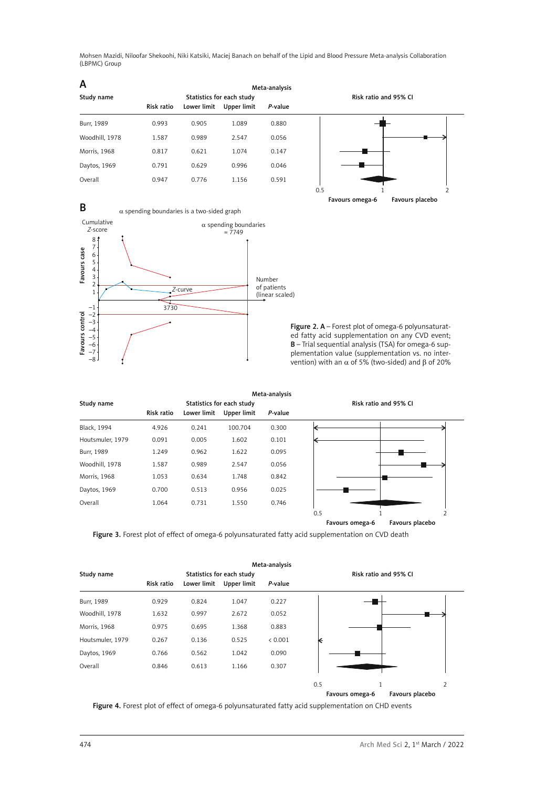Meta-analysis Study name Statistics for each study and 95% CI Risk ratio and 95% CI Risk ratio Lower limit Upper limit *P*-value Burr, 1989 0.993 0.905 1.089 0.880 Woodhill, 1978 1.587 0.989 2.547 0.056 Morris, 1968 0.817 0.621 1.074 0.147 Daytos, 1969 0.791 0.629 0.996 0.046 Overall 0.947 0.776 1.156 0.591 A







Meta-analysis Study name **Statistics for each study Risk ratio and 95% CI Risk ratio and 95% CI** Risk ratio Lower limit Upper limit *P*-value Black, 1994 4.926 0.241 100.704 0.300 Houtsmuler, 1979 0.091 0.005 1.602 0.101 Burr, 1989 1.249 0.962 1.622 0.095 Woodhill, 1978 1.587 0.989 2.547 0.056 Morris, 1968 1.053 0.634 1.748 0.842 Daytos, 1969 0.700 0.513 0.956 0.025 Overall 1.064 0.731 1.550 0.746 0.5 1 2 Favours omega-6 Favours placebo

Figure 3. Forest plot of effect of omega-6 polyunsaturated fatty acid supplementation on CVD death

|                  |            |             | Meta-analysis             |         |     |                          |  |  |  |  |
|------------------|------------|-------------|---------------------------|---------|-----|--------------------------|--|--|--|--|
| Study name       |            |             | Statistics for each study |         |     | Risk ratio and 95% CI    |  |  |  |  |
|                  | Risk ratio | Lower limit | Upper limit               | P-value |     |                          |  |  |  |  |
| Burr, 1989       | 0.929      | 0.824       | 1.047                     | 0.227   |     |                          |  |  |  |  |
| Woodhill, 1978   | 1.632      | 0.997       | 2.672                     | 0.052   |     |                          |  |  |  |  |
| Morris, 1968     | 0.975      | 0.695       | 1.368                     | 0.883   |     |                          |  |  |  |  |
| Houtsmuler, 1979 | 0.267      | 0.136       | 0.525                     | < 0.001 | ĸ   |                          |  |  |  |  |
| Daytos, 1969     | 0.766      | 0.562       | 1.042                     | 0.090   |     |                          |  |  |  |  |
| Overall          | 0.846      | 0.613       | 1.166                     | 0.307   |     |                          |  |  |  |  |
|                  |            |             |                           |         | 0.5 | $\overline{\phantom{a}}$ |  |  |  |  |

Figure 4. Forest plot of effect of omega-6 polyunsaturated fatty acid supplementation on CHD events

Favours omega-6 Favours placebo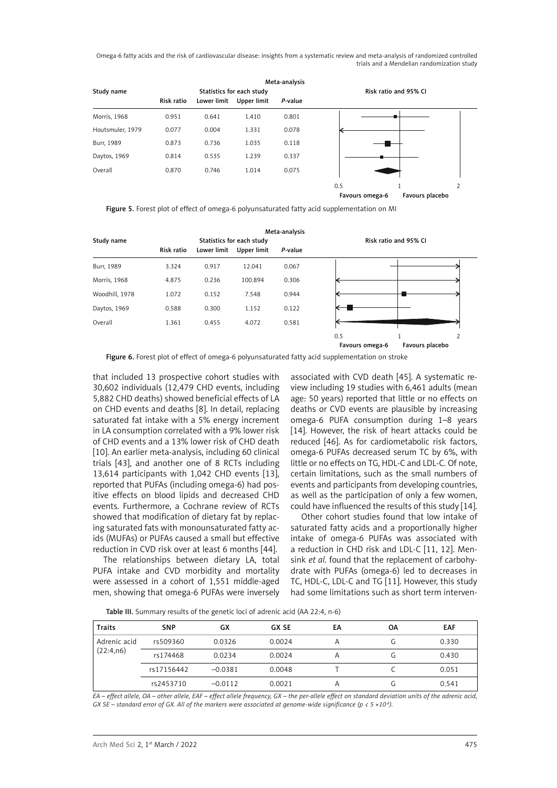

Figure 5. Forest plot of effect of omega-6 polyunsaturated fatty acid supplementation on MI

| Meta-analysis  |            |             |                           |         |                       |                 |  |  |  |
|----------------|------------|-------------|---------------------------|---------|-----------------------|-----------------|--|--|--|
| Study name     |            |             | Statistics for each study |         | Risk ratio and 95% CI |                 |  |  |  |
|                | Risk ratio | Lower limit | Upper limit               | P-value |                       |                 |  |  |  |
| Burr, 1989     | 3.324      | 0.917       | 12.041                    | 0.067   |                       |                 |  |  |  |
| Morris, 1968   | 4.875      | 0.236       | 100.894                   | 0.306   |                       |                 |  |  |  |
| Woodhill, 1978 | 1.072      | 0.152       | 7.548                     | 0.944   |                       |                 |  |  |  |
| Daytos, 1969   | 0.588      | 0.300       | 1.152                     | 0.122   |                       |                 |  |  |  |
| Overall        | 1.361      | 0.455       | 4.072                     | 0.581   |                       |                 |  |  |  |
|                |            |             |                           |         | 0.5                   | 2               |  |  |  |
|                |            |             |                           |         | Favours omega-6       | Favours placebo |  |  |  |

Figure 6. Forest plot of effect of omega-6 polyunsaturated fatty acid supplementation on stroke

that included 13 prospective cohort studies with 30,602 individuals (12,479 CHD events, including 5,882 CHD deaths) showed beneficial effects of LA on CHD events and deaths [8]. In detail, replacing saturated fat intake with a 5% energy increment in LA consumption correlated with a 9% lower risk of CHD events and a 13% lower risk of CHD death [10]. An earlier meta-analysis, including 60 clinical trials [43], and another one of 8 RCTs including 13,614 participants with 1,042 CHD events [13], reported that PUFAs (including omega-6) had positive effects on blood lipids and decreased CHD events. Furthermore, a Cochrane review of RCTs showed that modification of dietary fat by replacing saturated fats with monounsaturated fatty acids (MUFAs) or PUFAs caused a small but effective reduction in CVD risk over at least 6 months [44].

The relationships between dietary LA, total PUFA intake and CVD morbidity and mortality were assessed in a cohort of 1,551 middle-aged men, showing that omega-6 PUFAs were inversely

associated with CVD death [45]. A systematic review including 19 studies with 6,461 adults (mean age: 50 years) reported that little or no effects on deaths or CVD events are plausible by increasing omega-6 PUFA consumption during 1–8 years [14]. However, the risk of heart attacks could be reduced [46]. As for cardiometabolic risk factors, omega-6 PUFAs decreased serum TC by 6%, with little or no effects on TG, HDL-C and LDL-C. Of note, certain limitations, such as the small numbers of events and participants from developing countries, as well as the participation of only a few women, could have influenced the results of this study [14].

Other cohort studies found that low intake of saturated fatty acids and a proportionally higher intake of omega-6 PUFAs was associated with a reduction in CHD risk and LDL-C [11, 12]. Mensink *et al.* found that the replacement of carbohydrate with PUFAs (omega-6) led to decreases in TC, HDL-C, LDL-C and TG [11]. However, this study had some limitations such as short term interven-

Table III. Summary results of the genetic loci of adrenic acid (AA 22:4, n-6)

| <b>Traits</b> | <b>SNP</b> | GX        | <b>GX SE</b> | EA | ΟA | <b>EAF</b> |
|---------------|------------|-----------|--------------|----|----|------------|
| Adrenic acid  | rs509360   | 0.0326    | 0.0024       | А  |    | 0.330      |
| (22:4,n6)     | rs174468   | 0.0234    | 0.0024       | А  |    | 0.430      |
|               | rs17156442 | $-0.0381$ | 0.0048       |    |    | 0.051      |
|               | rs2453710  | $-0.0112$ | 0.0021       |    |    | 0.541      |

*EA – effect allele, OA – other allele, EAF – effect allele frequency, GX – the per-allele effect on standard deviation units of the adrenic acid, GX SE – standard error of GX. All of the markers were associated at genome-wide significance (p < 5 ×10-8).*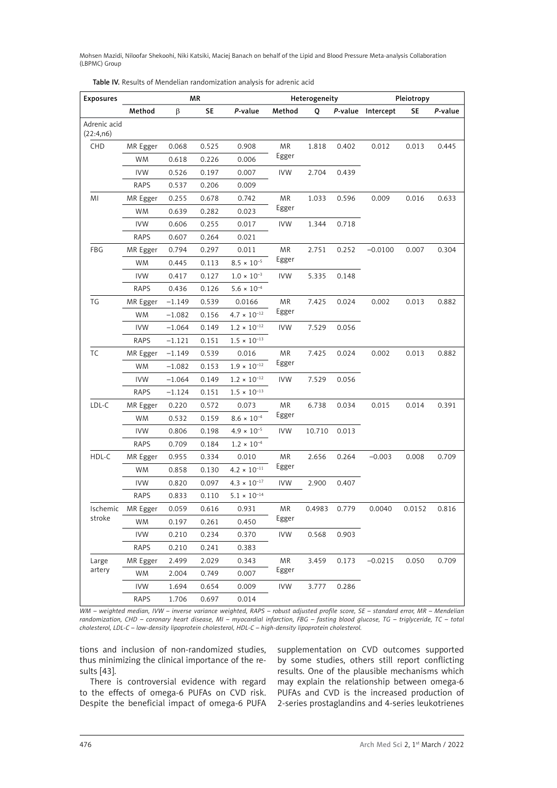| <b>Exposures</b>          | ΜR          |          |       | Heterogeneity         |            |        | Pleiotropy |                   |        |         |
|---------------------------|-------------|----------|-------|-----------------------|------------|--------|------------|-------------------|--------|---------|
|                           | Method      | β        | SE    | P-value               | Method     | Q      |            | P-value Intercept | SE     | P-value |
| Adrenic acid<br>(22:4,n6) |             |          |       |                       |            |        |            |                   |        |         |
| CHD                       | MR Egger    | 0.068    | 0.525 | 0.908                 | <b>MR</b>  | 1.818  | 0.402      | 0.012             | 0.013  | 0.445   |
|                           | <b>WM</b>   | 0.618    | 0.226 | 0.006                 | Egger      |        |            |                   |        |         |
|                           | <b>IVW</b>  | 0.526    | 0.197 | 0.007                 | <b>IVW</b> | 2.704  | 0.439      |                   |        |         |
|                           | <b>RAPS</b> | 0.537    | 0.206 | 0.009                 |            |        |            |                   |        |         |
| ΜI                        | MR Egger    | 0.255    | 0.678 | 0.742                 | <b>MR</b>  | 1.033  | 0.596      | 0.009             | 0.016  | 0.633   |
|                           | WM          | 0.639    | 0.282 | 0.023                 | Egger      |        |            |                   |        |         |
|                           | <b>IVW</b>  | 0.606    | 0.255 | 0.017                 | <b>IVW</b> | 1.344  | 0.718      |                   |        |         |
|                           | <b>RAPS</b> | 0.607    | 0.264 | 0.021                 |            |        |            |                   |        |         |
| FBG                       | MR Egger    | 0.794    | 0.297 | 0.011                 | <b>MR</b>  | 2.751  | 0.252      | $-0.0100$         | 0.007  | 0.304   |
|                           | <b>WM</b>   | 0.445    | 0.113 | $8.5 \times 10^{-5}$  | Egger      |        |            |                   |        |         |
|                           | <b>IVW</b>  | 0.417    | 0.127 | $1.0 \times 10^{-3}$  | <b>IVW</b> | 5.335  | 0.148      |                   |        |         |
|                           | <b>RAPS</b> | 0.436    | 0.126 | $5.6 \times 10^{-4}$  |            |        |            |                   |        |         |
| TG                        | MR Egger    | $-1.149$ | 0.539 | 0.0166                | <b>MR</b>  | 7.425  | 0.024      | 0.002             | 0.013  | 0.882   |
|                           | WM          | $-1.082$ | 0.156 | $4.7 \times 10^{-12}$ | Egger      |        |            |                   |        |         |
|                           | <b>IVW</b>  | $-1.064$ | 0.149 | $1.2\times10^{-12}$   | <b>IVW</b> | 7.529  | 0.056      |                   |        |         |
|                           | <b>RAPS</b> | $-1.121$ | 0.151 | $1.5 \times 10^{-13}$ |            |        |            |                   |        |         |
| ТC                        | MR Egger    | $-1.149$ | 0.539 | 0.016                 | <b>MR</b>  | 7.425  | 0.024      | 0.002             | 0.013  | 0.882   |
|                           | WM          | $-1.082$ | 0.153 | $1.9\times10^{-12}$   | Egger      |        |            |                   |        |         |
|                           | <b>IVW</b>  | $-1.064$ | 0.149 | $1.2 \times 10^{-12}$ | <b>IVW</b> | 7.529  | 0.056      |                   |        |         |
|                           | <b>RAPS</b> | $-1.124$ | 0.151 | $1.5 \times 10^{-13}$ |            |        |            |                   |        |         |
| LDL-C                     | MR Egger    | 0.220    | 0.572 | 0.073                 | <b>MR</b>  | 6.738  | 0.034      | 0.015             | 0.014  | 0.391   |
|                           | <b>WM</b>   | 0.532    | 0.159 | $8.6 \times 10^{-4}$  | Egger      |        |            |                   |        |         |
|                           | <b>IVW</b>  | 0.806    | 0.198 | $4.9 \times 10^{-5}$  | <b>IVW</b> | 10.710 | 0.013      |                   |        |         |
|                           | RAPS        | 0.709    | 0.184 | $1.2 \times 10^{-4}$  |            |        |            |                   |        |         |
| HDL-C                     | MR Egger    | 0.955    | 0.334 | 0.010                 | <b>MR</b>  | 2.656  | 0.264      | $-0.003$          | 0.008  | 0.709   |
|                           | <b>WM</b>   | 0.858    | 0.130 | $4.2 \times 10^{-11}$ | Egger      |        |            |                   |        |         |
|                           | <b>IVW</b>  | 0.820    | 0.097 | $4.3 \times 10^{-17}$ | <b>IVW</b> | 2.900  | 0.407      |                   |        |         |
|                           | RAPS        | 0.833    | 0.110 | $5.1 \times 10^{-14}$ |            |        |            |                   |        |         |
| Ischemic                  | MR Egger    | 0.059    | 0.616 | 0.931                 | <b>MR</b>  | 0.4983 | 0.779      | 0.0040            | 0.0152 | 0.816   |
| stroke                    | <b>WM</b>   | 0.197    | 0.261 | 0.450                 | Egger      |        |            |                   |        |         |
|                           | <b>IVW</b>  | 0.210    | 0.234 | 0.370                 | <b>IVW</b> | 0.568  | 0.903      |                   |        |         |
|                           | <b>RAPS</b> | 0.210    | 0.241 | 0.383                 |            |        |            |                   |        |         |
| Large                     | MR Egger    | 2.499    | 2.029 | 0.343                 | <b>MR</b>  | 3.459  | 0.173      | $-0.0215$         | 0.050  | 0.709   |
| artery                    | <b>WM</b>   | 2.004    | 0.749 | 0.007                 | Egger      |        |            |                   |        |         |
|                           | <b>IVW</b>  | 1.694    | 0.654 | 0.009                 | <b>IVW</b> | 3.777  | 0.286      |                   |        |         |
|                           | <b>RAPS</b> | 1.706    | 0.697 | 0.014                 |            |        |            |                   |        |         |

Table IV. Results of Mendelian randomization analysis for adrenic acid

*WM – weighted median, IVW – inverse variance weighted, RAPS – robust adjusted profile score, SE – standard error, MR – Mendelian randomization, CHD – coronary heart disease, MI – myocardial infarction, FBG – fasting blood glucose, TG – triglyceride, TC – total cholesterol, LDL-C – low-density lipoprotein cholesterol, HDL-C – high-density lipoprotein cholesterol.*

tions and inclusion of non-randomized studies, thus minimizing the clinical importance of the results [43].

There is controversial evidence with regard to the effects of omega-6 PUFAs on CVD risk. Despite the beneficial impact of omega-6 PUFA supplementation on CVD outcomes supported by some studies, others still report conflicting results. One of the plausible mechanisms which may explain the relationship between omega-6 PUFAs and CVD is the increased production of 2-series prostaglandins and 4-series leukotrienes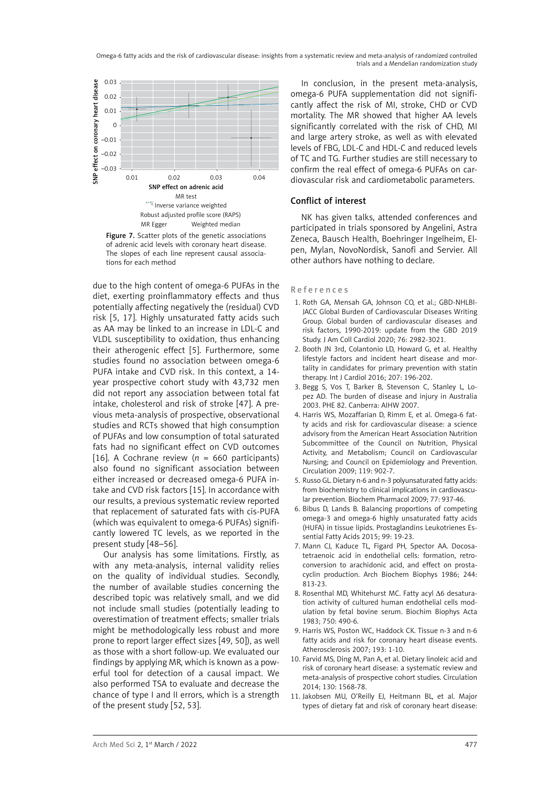

Figure 7. Scatter plots of the genetic associations of adrenic acid levels with coronary heart disease. The slopes of each line represent causal associations for each method

due to the high content of omega-6 PUFAs in the diet, exerting proinflammatory effects and thus potentially affecting negatively the (residual) CVD risk [5, 17]. Highly unsaturated fatty acids such as AA may be linked to an increase in LDL-C and VLDL susceptibility to oxidation, thus enhancing their atherogenic effect [5]. Furthermore, some studies found no association between omega-6 PUFA intake and CVD risk. In this context, a 14 year prospective cohort study with 43,732 men did not report any association between total fat intake, cholesterol and risk of stroke [47]. A previous meta-analysis of prospective, observational studies and RCTs showed that high consumption of PUFAs and low consumption of total saturated fats had no significant effect on CVD outcomes [16]. A Cochrane review (*n* = 660 participants) also found no significant association between either increased or decreased omega-6 PUFA intake and CVD risk factors [15]. In accordance with our results, a previous systematic review reported that replacement of saturated fats with cis-PUFA (which was equivalent to omega-6 PUFAs) significantly lowered TC levels, as we reported in the present study [48–56].

Our analysis has some limitations. Firstly, as with any meta-analysis, internal validity relies on the quality of individual studies. Secondly, the number of available studies concerning the described topic was relatively small, and we did not include small studies (potentially leading to overestimation of treatment effects; smaller trials might be methodologically less robust and more prone to report larger effect sizes [49, 50]), as well as those with a short follow-up. We evaluated our findings by applying MR, which is known as a powerful tool for detection of a causal impact. We also performed TSA to evaluate and decrease the chance of type I and II errors, which is a strength of the present study [52, 53].

In conclusion, in the present meta-analysis, omega-6 PUFA supplementation did not significantly affect the risk of MI, stroke, CHD or CVD mortality. The MR showed that higher AA levels significantly correlated with the risk of CHD, MI and large artery stroke, as well as with elevated levels of FBG, LDL-C and HDL-C and reduced levels of TC and TG. Further studies are still necessary to confirm the real effect of omega-6 PUFAs on cardiovascular risk and cardiometabolic parameters.

# Conflict of interest

NK has given talks, attended conferences and participated in trials sponsored by Angelini, Astra Zeneca, Bausch Health, Boehringer Ingelheim, Elpen, Mylan, NovoNordisk, Sanofi and Servier. All other authors have nothing to declare.

#### References

- 1. Roth GA, Mensah GA, Johnson CO, et al.; GBD-NHLBI-JACC Global Burden of Cardiovascular Diseases Writing Group. Global burden of cardiovascular diseases and risk factors, 1990-2019: update from the GBD 2019 Study. J Am Coll Cardiol 2020; 76: 2982-3021.
- 2. Booth JN 3rd, Colantonio LD, Howard G, et al. Healthy lifestyle factors and incident heart disease and mortality in candidates for primary prevention with statin therapy. Int J Cardiol 2016; 207: 196-202.
- 3. Begg S, Vos T, Barker B, Stevenson C, Stanley L, Lopez AD. The burden of disease and injury in Australia 2003. PHE 82. Canberra: AIHW 2007.
- 4. Harris WS, Mozaffarian D, Rimm E, et al. Omega-6 fatty acids and risk for cardiovascular disease: a science advisory from the American Heart Association Nutrition Subcommittee of the Council on Nutrition, Physical Activity, and Metabolism; Council on Cardiovascular Nursing; and Council on Epidemiology and Prevention. Circulation 2009; 119: 902-7.
- 5. Russo GL. Dietary n-6 and n-3 polyunsaturated fatty acids: from biochemistry to clinical implications in cardiovascular prevention. Biochem Pharmacol 2009; 77: 937-46.
- 6. Bibus D, Lands B. Balancing proportions of competing omega-3 and omega-6 highly unsaturated fatty acids (HUFA) in tissue lipids. Prostaglandins Leukotrienes Essential Fatty Acids 2015; 99: 19-23.
- 7. Mann CJ, Kaduce TL, Figard PH, Spector AA. Docosatetraenoic acid in endothelial cells: formation, retroconversion to arachidonic acid, and effect on prostacyclin production. Arch Biochem Biophys 1986; 244: 813-23.
- 8. Rosenthal MD, Whitehurst MC. Fatty acyl Δ6 desaturation activity of cultured human endothelial cells modulation by fetal bovine serum. Biochim Biophys Acta 1983; 750: 490-6.
- 9. Harris WS, Poston WC, Haddock CK. Tissue n-3 and n-6 fatty acids and risk for coronary heart disease events. Atherosclerosis 2007; 193: 1-10.
- 10. Farvid MS, Ding M, Pan A, et al. Dietary linoleic acid and risk of coronary heart disease: a systematic review and meta-analysis of prospective cohort studies. Circulation 2014; 130: 1568-78.
- 11. Jakobsen MU, O'Reilly EJ, Heitmann BL, et al. Major types of dietary fat and risk of coronary heart disease: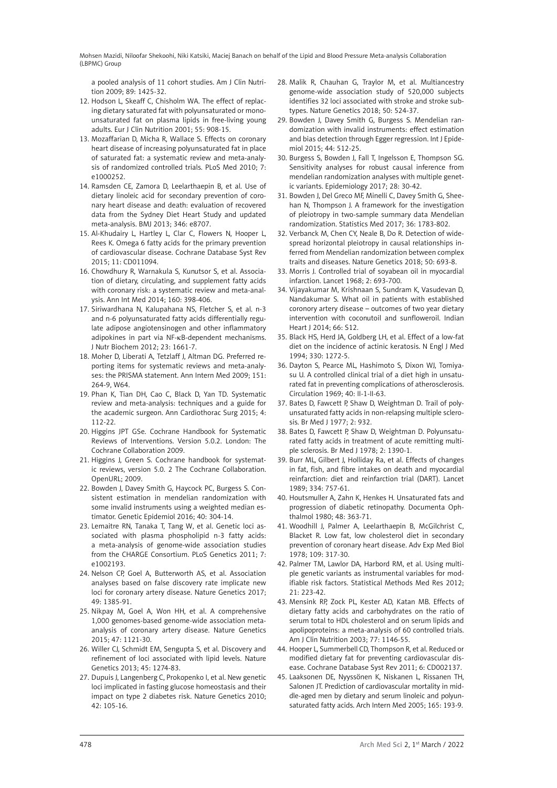a pooled analysis of 11 cohort studies. Am J Clin Nutrition 2009; 89: 1425-32.

- 12. Hodson L, Skeaff C, Chisholm WA. The effect of replacing dietary saturated fat with polyunsaturated or monounsaturated fat on plasma lipids in free-living young adults. Eur J Clin Nutrition 2001; 55: 908-15.
- 13. Mozaffarian D, Micha R, Wallace S. Effects on coronary heart disease of increasing polyunsaturated fat in place of saturated fat: a systematic review and meta-analysis of randomized controlled trials. PLoS Med 2010; 7: e1000252.
- 14. Ramsden CE, Zamora D, Leelarthaepin B, et al. Use of dietary linoleic acid for secondary prevention of coronary heart disease and death: evaluation of recovered data from the Sydney Diet Heart Study and updated meta-analysis. BMJ 2013; 346: e8707.
- 15. Al-Khudairy L, Hartley L, Clar C, Flowers N, Hooper L, Rees K. Omega 6 fatty acids for the primary prevention of cardiovascular disease. Cochrane Database Syst Rev 2015; 11: CD011094.
- 16. Chowdhury R, Warnakula S, Kunutsor S, et al. Association of dietary, circulating, and supplement fatty acids with coronary risk: a systematic review and meta-analysis. Ann Int Med 2014; 160: 398-406.
- 17. Siriwardhana N, Kalupahana NS, Fletcher S, et al. n-3 and n-6 polyunsaturated fatty acids differentially regulate adipose angiotensinogen and other inflammatory adipokines in part via NF-κB-dependent mechanisms. J Nutr Biochem 2012; 23: 1661-7.
- 18. Moher D, Liberati A, Tetzlaff J, Altman DG. Preferred reporting items for systematic reviews and meta-analyses: the PRISMA statement. Ann Intern Med 2009; 151: 264-9, W64.
- 19. Phan K, Tian DH, Cao C, Black D, Yan TD. Systematic review and meta-analysis: techniques and a guide for the academic surgeon. Ann Cardiothorac Surg 2015; 4: 112-22.
- 20. Higgins JPT GSe. Cochrane Handbook for Systematic Reviews of Interventions. Version 5.0.2. London: The Cochrane Collaboration 2009.
- 21. Higgins J, Green S. Cochrane handbook for systematic reviews, version 5.0. 2 The Cochrane Collaboration. OpenURL; 2009.
- 22. Bowden J, Davey Smith G, Haycock PC, Burgess S. Consistent estimation in mendelian randomization with some invalid instruments using a weighted median estimator. Genetic Epidemiol 2016; 40: 304-14.
- 23. Lemaitre RN, Tanaka T, Tang W, et al. Genetic loci associated with plasma phospholipid n-3 fatty acids: a meta-analysis of genome-wide association studies from the CHARGE Consortium. PLoS Genetics 2011; 7: e1002193.
- 24. Nelson CP, Goel A, Butterworth AS, et al. Association analyses based on false discovery rate implicate new loci for coronary artery disease. Nature Genetics 2017; 49: 1385-91.
- 25. Nikpay M, Goel A, Won HH, et al. A comprehensive 1,000 genomes-based genome-wide association metaanalysis of coronary artery disease. Nature Genetics 2015; 47: 1121-30.
- 26. Willer CJ, Schmidt EM, Sengupta S, et al. Discovery and refinement of loci associated with lipid levels. Nature Genetics 2013; 45: 1274-83.
- 27. Dupuis J, Langenberg C, Prokopenko I, et al. New genetic loci implicated in fasting glucose homeostasis and their impact on type 2 diabetes risk. Nature Genetics 2010; 42: 105-16.
- 28. Malik R, Chauhan G, Traylor M, et al. Multiancestry genome-wide association study of 520,000 subjects identifies 32 loci associated with stroke and stroke subtypes. Nature Genetics 2018; 50: 524-37.
- 29. Bowden J, Davey Smith G, Burgess S. Mendelian randomization with invalid instruments: effect estimation and bias detection through Egger regression. Int J Epidemiol 2015; 44: 512-25.
- 30. Burgess S, Bowden J, Fall T, Ingelsson E, Thompson SG. Sensitivity analyses for robust causal inference from mendelian randomization analyses with multiple genetic variants. Epidemiology 2017; 28: 30-42.
- 31. Bowden J, Del Greco MF, Minelli C, Davey Smith G, Sheehan N, Thompson J. A framework for the investigation of pleiotropy in two-sample summary data Mendelian randomization. Statistics Med 2017; 36: 1783-802.
- 32. Verbanck M, Chen CY, Neale B, Do R. Detection of widespread horizontal pleiotropy in causal relationships inferred from Mendelian randomization between complex traits and diseases. Nature Genetics 2018; 50: 693-8.
- 33. Morris J. Controlled trial of soyabean oil in myocardial infarction. Lancet 1968; 2: 693-700.
- 34. Vijayakumar M, Krishnaan S, Sundram K, Vasudevan D, Nandakumar S. What oil in patients with established coronory artery disease – outcomes of two year dietary intervention with coconutoil and sunfloweroil. Indian Heart J 2014; 66: S12.
- 35. Black HS, Herd JA, Goldberg LH, et al. Effect of a low-fat diet on the incidence of actinic keratosis. N Engl J Med 1994; 330: 1272-5.
- 36. Dayton S, Pearce ML, Hashimoto S, Dixon WJ, Tomiyasu U. A controlled clinical trial of a diet high in unsaturated fat in preventing complications of atherosclerosis. Circulation 1969; 40: II-1-II-63.
- 37. Bates D, Fawcett P, Shaw D, Weightman D. Trail of polyunsaturated fatty acids in non-relapsing multiple sclerosis. Br Med J 1977; 2: 932.
- 38. Bates D, Fawcett P, Shaw D, Weightman D. Polyunsaturated fatty acids in treatment of acute remitting multiple sclerosis. Br Med J 1978; 2: 1390-1.
- 39. Burr ML, Gilbert J, Holliday Ra, et al. Effects of changes in fat, fish, and fibre intakes on death and myocardial reinfarction: diet and reinfarction trial (DART). Lancet 1989; 334: 757-61.
- 40. Houtsmuller A, Zahn K, Henkes H. Unsaturated fats and progression of diabetic retinopathy. Documenta Ophthalmol 1980; 48: 363-71.
- 41. Woodhill J, Palmer A, Leelarthaepin B, McGilchrist C, Blacket R. Low fat, low cholesterol diet in secondary prevention of coronary heart disease. Adv Exp Med Biol 1978; 109: 317-30.
- 42. Palmer TM, Lawlor DA, Harbord RM, et al. Using multiple genetic variants as instrumental variables for modifiable risk factors. Statistical Methods Med Res 2012; 21: 223-42.
- 43. Mensink RP, Zock PL, Kester AD, Katan MB. Effects of dietary fatty acids and carbohydrates on the ratio of serum total to HDL cholesterol and on serum lipids and apolipoproteins: a meta-analysis of 60 controlled trials. Am J Clin Nutrition 2003; 77: 1146-55.
- 44. Hooper L, Summerbell CD, Thompson R, et al. Reduced or modified dietary fat for preventing cardiovascular disease. Cochrane Database Syst Rev 2011; 6: CD002137.
- 45. Laaksonen DE, Nyyssönen K, Niskanen L, Rissanen TH, Salonen JT. Prediction of cardiovascular mortality in middle-aged men by dietary and serum linoleic and polyunsaturated fatty acids. Arch Intern Med 2005; 165: 193-9.